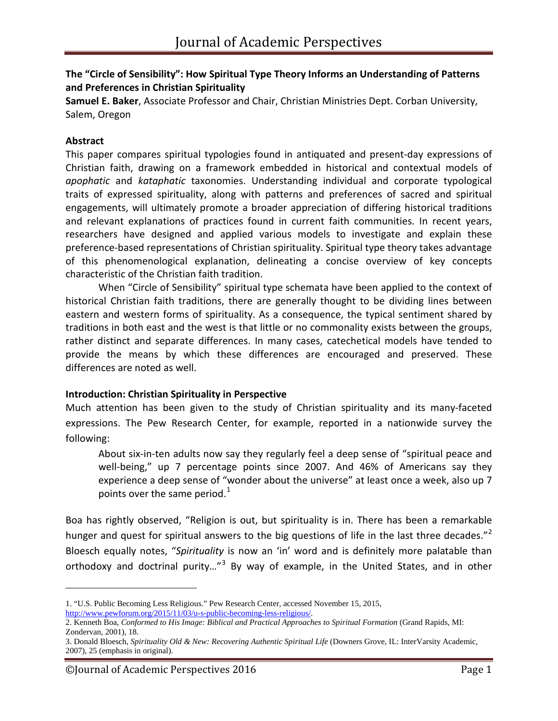## **The "Circle of Sensibility": How Spiritual Type Theory Informs an Understanding of Patterns and Preferences in Christian Spirituality**

**Samuel E. Baker**, Associate Professor and Chair, Christian Ministries Dept. Corban University, Salem, Oregon

### **Abstract**

 $\overline{a}$ 

This paper compares spiritual typologies found in antiquated and present-day expressions of Christian faith, drawing on a framework embedded in historical and contextual models of *apophatic* and *kataphatic* taxonomies. Understanding individual and corporate typological traits of expressed spirituality, along with patterns and preferences of sacred and spiritual engagements, will ultimately promote a broader appreciation of differing historical traditions and relevant explanations of practices found in current faith communities. In recent years, researchers have designed and applied various models to investigate and explain these preference-based representations of Christian spirituality. Spiritual type theory takes advantage of this phenomenological explanation, delineating a concise overview of key concepts characteristic of the Christian faith tradition.

When "Circle of Sensibility" spiritual type schemata have been applied to the context of historical Christian faith traditions, there are generally thought to be dividing lines between eastern and western forms of spirituality. As a consequence, the typical sentiment shared by traditions in both east and the west is that little or no commonality exists between the groups, rather distinct and separate differences. In many cases, catechetical models have tended to provide the means by which these differences are encouraged and preserved. These differences are noted as well.

#### **Introduction: Christian Spirituality in Perspective**

Much attention has been given to the study of Christian spirituality and its many-faceted expressions. The Pew Research Center, for example, reported in a nationwide survey the following:

About six-in-ten adults now say they regularly feel a deep sense of "spiritual peace and well-being," up 7 percentage points since 2007. And 46% of Americans say they experience a deep sense of "wonder about the universe" at least once a week, also up 7 points over the same period.<sup>[1](#page-0-0)</sup>

Boa has rightly observed, "Religion is out, but spirituality is in. There has been a remarkable hunger and quest for spiritual answers to the big questions of life in the last three decades."<sup>[2](#page-0-1)</sup> Bloesch equally notes, "*Spirituality* is now an 'in' word and is definitely more palatable than orthodoxy and doctrinal purity..."<sup>[3](#page-0-2)</sup> By way of example, in the United States, and in other

<span id="page-0-0"></span><sup>1. &</sup>quot;U.S. Public Becoming Less Religious." Pew Research Center, accessed November 15, 2015,

[http://www.pewforum.org/2015/11/03/u-s-public-becoming-less-religious/.](http://www.pewforum.org/2015/11/03/u-s-public-becoming-less-religious/)

<span id="page-0-1"></span><sup>2.</sup> Kenneth Boa, *Conformed to His Image: Biblical and Practical Approaches to Spiritual Formation* (Grand Rapids, MI: Zondervan, 2001), 18.

<span id="page-0-2"></span><sup>3.</sup> Donald Bloesch, *Spirituality Old & New: Recovering Authentic Spiritual Life* (Downers Grove, IL: InterVarsity Academic, 2007), 25 (emphasis in original).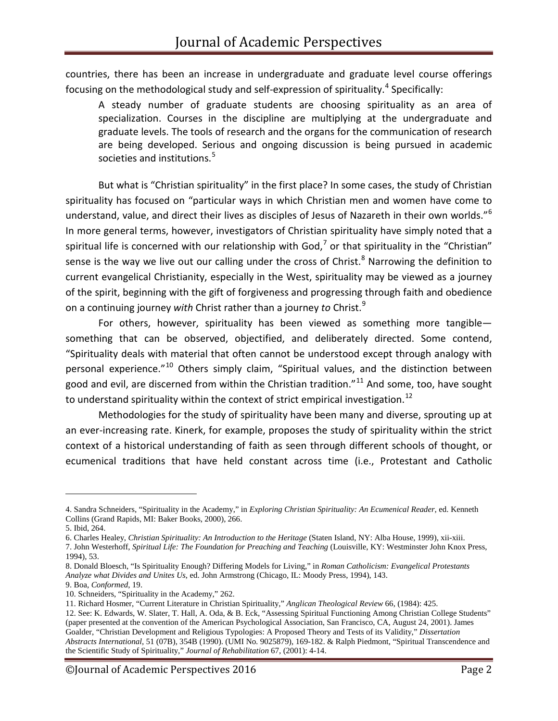countries, there has been an increase in undergraduate and graduate level course offerings focusing on the methodological study and self-expression of spirituality.<sup>[4](#page-1-0)</sup> Specifically:

A steady number of graduate students are choosing spirituality as an area of specialization. Courses in the discipline are multiplying at the undergraduate and graduate levels. The tools of research and the organs for the communication of research are being developed. Serious and ongoing discussion is being pursued in academic societies and institutions.<sup>[5](#page-1-1)</sup>

But what is "Christian spirituality" in the first place? In some cases, the study of Christian spirituality has focused on "particular ways in which Christian men and women have come to understand, value, and direct their lives as disciples of Jesus of Nazareth in their own worlds."<sup>[6](#page-1-2)</sup> In more general terms, however, investigators of Christian spirituality have simply noted that a spiritual life is concerned with our relationship with God,<sup>[7](#page-1-3)</sup> or that spirituality in the "Christian" sense is the way we live out our calling under the cross of Christ.<sup>[8](#page-1-4)</sup> Narrowing the definition to current evangelical Christianity, especially in the West, spirituality may be viewed as a journey of the spirit, beginning with the gift of forgiveness and progressing through faith and obedience on a continuing journey *with* Christ rather than a journey *to* Christ. [9](#page-1-5)

For others, however, spirituality has been viewed as something more tangible something that can be observed, objectified, and deliberately directed. Some contend, "Spirituality deals with material that often cannot be understood except through analogy with personal experience."<sup>[10](#page-1-6)</sup> Others simply claim, "Spiritual values, and the distinction between good and evil, are discerned from within the Christian tradition."<sup>[11](#page-1-7)</sup> And some, too, have sought to understand spirituality within the context of strict empirical investigation.<sup>[12](#page-1-8)</sup>

Methodologies for the study of spirituality have been many and diverse, sprouting up at an ever-increasing rate. Kinerk, for example, proposes the study of spirituality within the strict context of a historical understanding of faith as seen through different schools of thought, or ecumenical traditions that have held constant across time (i.e., Protestant and Catholic

<span id="page-1-0"></span><sup>4.</sup> Sandra Schneiders, "Spirituality in the Academy," in *Exploring Christian Spirituality: An Ecumenical Reader*, ed. Kenneth Collins (Grand Rapids, MI: Baker Books, 2000), 266.

<span id="page-1-1"></span><sup>5.</sup> Ibid, 264.

<span id="page-1-2"></span><sup>6.</sup> Charles Healey, *Christian Spirituality: An Introduction to the Heritage* (Staten Island, NY: Alba House, 1999), xii-xiii.

<span id="page-1-3"></span><sup>7.</sup> John Westerhoff, *Spiritual Life: The Foundation for Preaching and Teaching* (Louisville, KY: Westminster John Knox Press, 1994), 53.

<span id="page-1-4"></span><sup>8.</sup> Donald Bloesch, "Is Spirituality Enough? Differing Models for Living," in *Roman Catholicism: Evangelical Protestants Analyze what Divides and Unites Us*, ed. John Armstrong (Chicago, IL: Moody Press, 1994), 143. 9. Boa, *Conformed*, 19.

<span id="page-1-6"></span><span id="page-1-5"></span><sup>10.</sup> Schneiders, "Spirituality in the Academy," 262.

<sup>11.</sup> Richard Hosmer, "Current Literature in Christian Spirituality," *Anglican Theological Review* 66, (1984): 425.

<span id="page-1-8"></span><span id="page-1-7"></span><sup>12.</sup> See: K. Edwards, W. Slater, T. Hall, A. Oda, & B. Eck, "Assessing Spiritual Functioning Among Christian College Students" (paper presented at the convention of the American Psychological Association, San Francisco, CA, August 24, 2001). James Goalder, "Christian Development and Religious Typologies: A Proposed Theory and Tests of its Validity," *Dissertation Abstracts International*, 51 (07B), 354B (1990). (UMI No. 9025879), 169-182. & Ralph Piedmont, "Spiritual Transcendence and the Scientific Study of Spirituality," *Journal of Rehabilitation* 67, (2001): 4-14.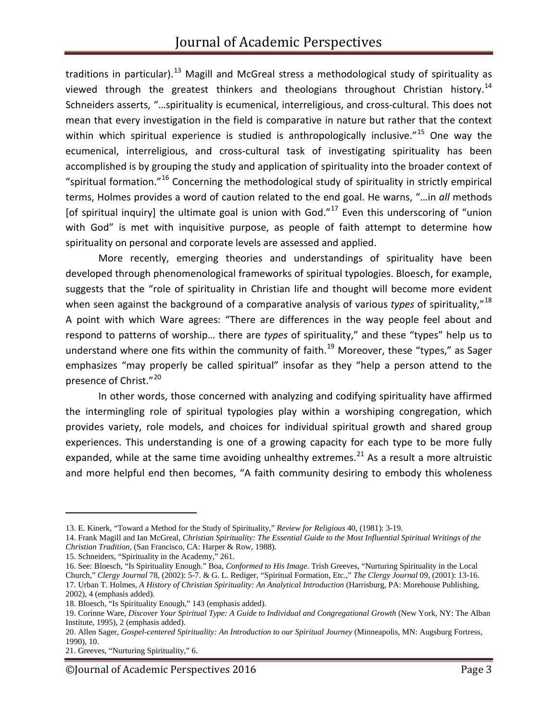traditions in particular).<sup>[13](#page-2-0)</sup> Magill and McGreal stress a methodological study of spirituality as viewed through the greatest thinkers and theologians throughout Christian history.<sup>[14](#page-2-1)</sup> Schneiders asserts, "…spirituality is ecumenical, interreligious, and cross-cultural. This does not mean that every investigation in the field is comparative in nature but rather that the context within which spiritual experience is studied is anthropologically inclusive."<sup>[15](#page-2-2)</sup> One way the ecumenical, interreligious, and cross-cultural task of investigating spirituality has been accomplished is by grouping the study and application of spirituality into the broader context of "spiritual formation."<sup>[16](#page-2-3)</sup> Concerning the methodological study of spirituality in strictly empirical terms, Holmes provides a word of caution related to the end goal. He warns, "…in *all* methods [of spiritual inquiry] the ultimate goal is union with God."<sup>[17](#page-2-4)</sup> Even this underscoring of "union with God" is met with inquisitive purpose, as people of faith attempt to determine how spirituality on personal and corporate levels are assessed and applied.

More recently, emerging theories and understandings of spirituality have been developed through phenomenological frameworks of spiritual typologies. Bloesch, for example, suggests that the "role of spirituality in Christian life and thought will become more evident when seen against the background of a comparative analysis of various *types* of spirituality," [18](#page-2-5) A point with which Ware agrees: "There are differences in the way people feel about and respond to patterns of worship… there are *types* of spirituality," and these "types" help us to understand where one fits within the community of faith.<sup>[19](#page-2-6)</sup> Moreover, these "types," as Sager emphasizes "may properly be called spiritual" insofar as they "help a person attend to the presence of Christ." [20](#page-2-7)

In other words, those concerned with analyzing and codifying spirituality have affirmed the intermingling role of spiritual typologies play within a worshiping congregation, which provides variety, role models, and choices for individual spiritual growth and shared group experiences. This understanding is one of a growing capacity for each type to be more fully expanded, while at the same time avoiding unhealthy extremes. $^{21}$  $^{21}$  $^{21}$  As a result a more altruistic and more helpful end then becomes, "A faith community desiring to embody this wholeness

<span id="page-2-0"></span><sup>13.</sup> E. Kinerk, "Toward a Method for the Study of Spirituality," *Review for Religious* 40, (1981): 3-19.

<span id="page-2-1"></span><sup>14.</sup> Frank Magill and Ian McGreal, *Christian Spirituality: The Essential Guide to the Most Influential Spiritual Writings of the Christian Tradition*, (San Francisco, CA: Harper & Row, 1988).

<sup>15.</sup> Schneiders, "Spirituality in the Academy," 261.

<span id="page-2-4"></span><span id="page-2-3"></span><span id="page-2-2"></span><sup>16.</sup> See: Bloesch, "Is Spirituality Enough." Boa, *Conformed to His Image*. Trish Greeves, "Nurturing Spirituality in the Local Church," *Clergy Journal* 78, (2002): 5-7. & G. L. Rediger, "Spiritual Formation, Etc.," *The Clergy Journal* 09, (2001): 13-16. 17. Urban T. Holmes, *A History of Christian Spirituality: An Analytical Introduction* (Harrisburg, PA: Morehouse Publishing, 2002), 4 (emphasis added).

<span id="page-2-5"></span><sup>18.</sup> Bloesch, "Is Spirituality Enough," 143 (emphasis added).

<span id="page-2-6"></span><sup>19.</sup> Corinne Ware, *Discover Your Spiritual Type: A Guide to Individual and Congregational Growth* (New York, NY: The Alban Institute, 1995), 2 (emphasis added).

<span id="page-2-7"></span><sup>20.</sup> Allen Sager, *Gospel-centered Spirituality: An Introduction to our Spiritual Journey* (Minneapolis, MN: Augsburg Fortress, 1990), 10.

<span id="page-2-8"></span><sup>21.</sup> Greeves, "Nurturing Spirituality," 6.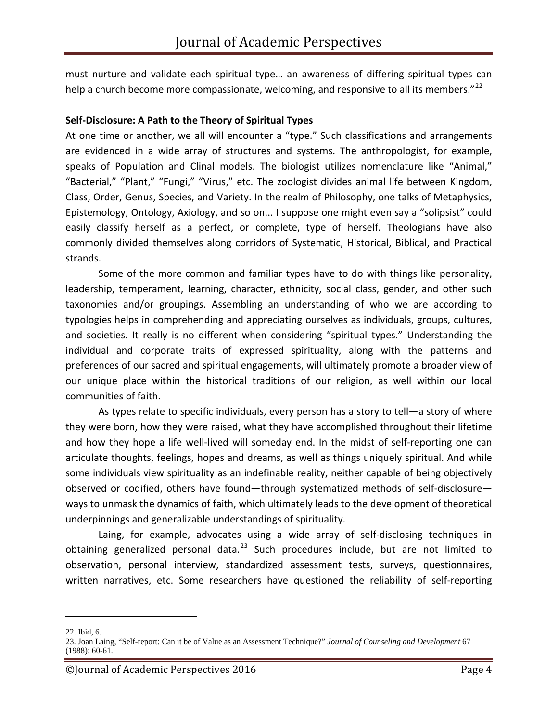must nurture and validate each spiritual type… an awareness of differing spiritual types can help a church become more compassionate, welcoming, and responsive to all its members."<sup>[22](#page-3-0)</sup>

#### **Self-Disclosure: A Path to the Theory of Spiritual Types**

At one time or another, we all will encounter a "type." Such classifications and arrangements are evidenced in a wide array of structures and systems. The anthropologist, for example, speaks of Population and Clinal models. The biologist utilizes nomenclature like "Animal," "Bacterial," "Plant," "Fungi," "Virus," etc. The zoologist divides animal life between Kingdom, Class, Order, Genus, Species, and Variety. In the realm of Philosophy, one talks of Metaphysics, Epistemology, Ontology, Axiology, and so on... I suppose one might even say a "solipsist" could easily classify herself as a perfect, or complete, type of herself. Theologians have also commonly divided themselves along corridors of Systematic, Historical, Biblical, and Practical strands.

Some of the more common and familiar types have to do with things like personality, leadership, temperament, learning, character, ethnicity, social class, gender, and other such taxonomies and/or groupings. Assembling an understanding of who we are according to typologies helps in comprehending and appreciating ourselves as individuals, groups, cultures, and societies. It really is no different when considering "spiritual types." Understanding the individual and corporate traits of expressed spirituality, along with the patterns and preferences of our sacred and spiritual engagements, will ultimately promote a broader view of our unique place within the historical traditions of our religion, as well within our local communities of faith.

As types relate to specific individuals, every person has a story to tell—a story of where they were born, how they were raised, what they have accomplished throughout their lifetime and how they hope a life well-lived will someday end. In the midst of self-reporting one can articulate thoughts, feelings, hopes and dreams, as well as things uniquely spiritual. And while some individuals view spirituality as an indefinable reality, neither capable of being objectively observed or codified, others have found—through systematized methods of self-disclosure ways to unmask the dynamics of faith, which ultimately leads to the development of theoretical underpinnings and generalizable understandings of spirituality.

Laing, for example, advocates using a wide array of self-disclosing techniques in obtaining generalized personal data. $^{23}$  $^{23}$  $^{23}$  Such procedures include, but are not limited to observation, personal interview, standardized assessment tests, surveys, questionnaires, written narratives, etc. Some researchers have questioned the reliability of self-reporting

<span id="page-3-0"></span><sup>22.</sup> Ibid, 6.

<span id="page-3-1"></span><sup>23.</sup> Joan Laing, "Self-report: Can it be of Value as an Assessment Technique?" *Journal of Counseling and Development* 67 (1988): 60-61.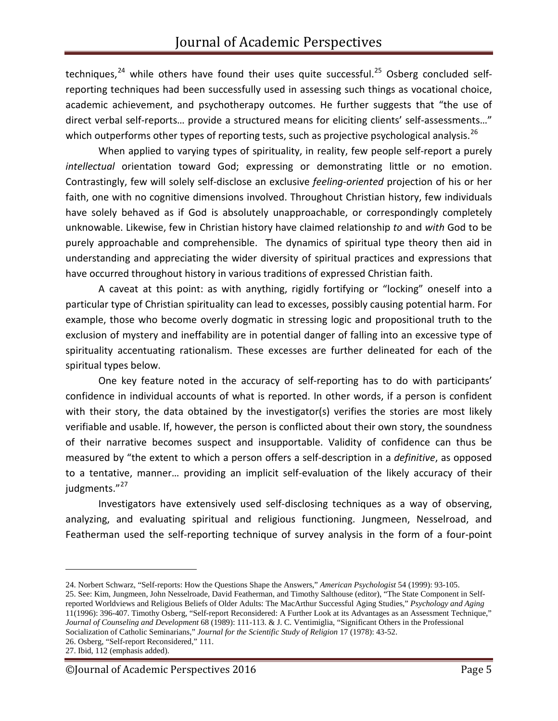techniques,<sup>[24](#page-4-0)</sup> while others have found their uses quite successful.<sup>[25](#page-4-1)</sup> Osberg concluded selfreporting techniques had been successfully used in assessing such things as vocational choice, academic achievement, and psychotherapy outcomes. He further suggests that "the use of direct verbal self-reports… provide a structured means for eliciting clients' self-assessments…" which outperforms other types of reporting tests, such as projective psychological analysis.<sup>[26](#page-4-2)</sup>

When applied to varying types of spirituality, in reality, few people self-report a purely *intellectual* orientation toward God; expressing or demonstrating little or no emotion. Contrastingly, few will solely self-disclose an exclusive *feeling-oriented* projection of his or her faith, one with no cognitive dimensions involved. Throughout Christian history, few individuals have solely behaved as if God is absolutely unapproachable, or correspondingly completely unknowable. Likewise, few in Christian history have claimed relationship *to* and *with* God to be purely approachable and comprehensible. The dynamics of spiritual type theory then aid in understanding and appreciating the wider diversity of spiritual practices and expressions that have occurred throughout history in various traditions of expressed Christian faith.

A caveat at this point: as with anything, rigidly fortifying or "locking" oneself into a particular type of Christian spirituality can lead to excesses, possibly causing potential harm. For example, those who become overly dogmatic in stressing logic and propositional truth to the exclusion of mystery and ineffability are in potential danger of falling into an excessive type of spirituality accentuating rationalism. These excesses are further delineated for each of the spiritual types below.

One key feature noted in the accuracy of self-reporting has to do with participants' confidence in individual accounts of what is reported. In other words, if a person is confident with their story, the data obtained by the investigator(s) verifies the stories are most likely verifiable and usable. If, however, the person is conflicted about their own story, the soundness of their narrative becomes suspect and insupportable. Validity of confidence can thus be measured by "the extent to which a person offers a self-description in a *definitive*, as opposed to a tentative, manner… providing an implicit self-evaluation of the likely accuracy of their judgments."<sup>[27](#page-4-3)</sup>

Investigators have extensively used self-disclosing techniques as a way of observing, analyzing, and evaluating spiritual and religious functioning. Jungmeen, Nesselroad, and Featherman used the self-reporting technique of survey analysis in the form of a four-point

<span id="page-4-0"></span><sup>24.</sup> Norbert Schwarz, "Self-reports: How the Questions Shape the Answers," *American Psychologist* 54 (1999): 93-105.

<span id="page-4-1"></span><sup>25.</sup> See: Kim, Jungmeen, John Nesselroade, David Featherman, and Timothy Salthouse (editor), "The State Component in Selfreported Worldviews and Religious Beliefs of Older Adults: The MacArthur Successful Aging Studies," *Psychology and Aging* 11(1996): 396-407. Timothy Osberg, "Self-report Reconsidered: A Further Look at its Advantages as an Assessment Technique," *Journal of Counseling and Development* 68 (1989): 111-113. & J. C. Ventimiglia, "Significant Others in the Professional Socialization of Catholic Seminarians," *Journal for the Scientific Study of Religion* 17 (1978): 43-52.

<span id="page-4-2"></span><sup>26.</sup> Osberg, "Self-report Reconsidered," 111.

<span id="page-4-3"></span><sup>27.</sup> Ibid, 112 (emphasis added).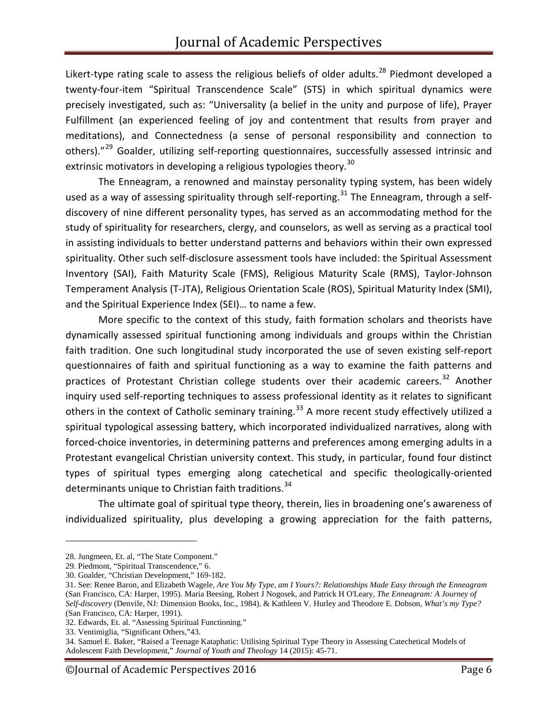Likert-type rating scale to assess the religious beliefs of older adults.<sup>[28](#page-5-0)</sup> Piedmont developed a twenty-four-item "Spiritual Transcendence Scale" (STS) in which spiritual dynamics were precisely investigated, such as: "Universality (a belief in the unity and purpose of life), Prayer Fulfillment (an experienced feeling of joy and contentment that results from prayer and meditations), and Connectedness (a sense of personal responsibility and connection to others)."<sup>[29](#page-5-1)</sup> Goalder, utilizing self-reporting questionnaires, successfully assessed intrinsic and extrinsic motivators in developing a religious typologies theory.<sup>[30](#page-5-2)</sup>

The Enneagram, a renowned and mainstay personality typing system, has been widely used as a way of assessing spirituality through self-reporting.<sup>[31](#page-5-3)</sup> The Enneagram, through a selfdiscovery of nine different personality types, has served as an accommodating method for the study of spirituality for researchers, clergy, and counselors, as well as serving as a practical tool in assisting individuals to better understand patterns and behaviors within their own expressed spirituality. Other such self-disclosure assessment tools have included: the Spiritual Assessment Inventory (SAI), Faith Maturity Scale (FMS), Religious Maturity Scale (RMS), Taylor-Johnson Temperament Analysis (T-JTA), Religious Orientation Scale (ROS), Spiritual Maturity Index (SMI), and the Spiritual Experience Index (SEI)… to name a few.

More specific to the context of this study, faith formation scholars and theorists have dynamically assessed spiritual functioning among individuals and groups within the Christian faith tradition. One such longitudinal study incorporated the use of seven existing self-report questionnaires of faith and spiritual functioning as a way to examine the faith patterns and practices of Protestant Christian college students over their academic careers.<sup>[32](#page-5-4)</sup> Another inquiry used self-reporting techniques to assess professional identity as it relates to significant others in the context of Catholic seminary training.<sup>[33](#page-5-5)</sup> A more recent study effectively utilized a spiritual typological assessing battery, which incorporated individualized narratives, along with forced-choice inventories, in determining patterns and preferences among emerging adults in a Protestant evangelical Christian university context. This study, in particular, found four distinct types of spiritual types emerging along catechetical and specific theologically-oriented determinants unique to Christian faith traditions.<sup>[34](#page-5-6)</sup>

The ultimate goal of spiritual type theory, therein, lies in broadening one's awareness of individualized spirituality, plus developing a growing appreciation for the faith patterns,

<span id="page-5-0"></span><sup>28.</sup> Jungmeen, Et. al, "The State Component."

<span id="page-5-1"></span><sup>29.</sup> Piedmont, "Spiritual Transcendence," 6.

<span id="page-5-2"></span><sup>30.</sup> Goalder, "Christian Development," 169-182.

<span id="page-5-3"></span><sup>31.</sup> See: Renee Baron, and Elizabeth Wagele, *Are You My Type, am I Yours?: Relationships Made Easy through the Enneagram* (San Francisco, CA: Harper, 1995). Maria Beesing, Robert J Nogosek, and Patrick H O'Leary, *The Enneagram: A Journey of Self-discovery* (Denvile, NJ: Dimension Books, Inc., 1984). & Kathleen V. Hurley and Theodore E. Dobson, *What's my Type?* (San Francisco, CA: Harper, 1991).

<span id="page-5-4"></span><sup>32.</sup> Edwards, Et. al. "Assessing Spiritual Functioning."

<span id="page-5-5"></span><sup>33.</sup> Ventimiglia, "Significant Others,"43.

<span id="page-5-6"></span><sup>34.</sup> Samuel E. Baker, "Raised a Teenage Kataphatic: Utilising Spiritual Type Theory in Assessing Catechetical Models of Adolescent Faith Development," *Journal of Youth and Theology* 14 (2015): 45-71.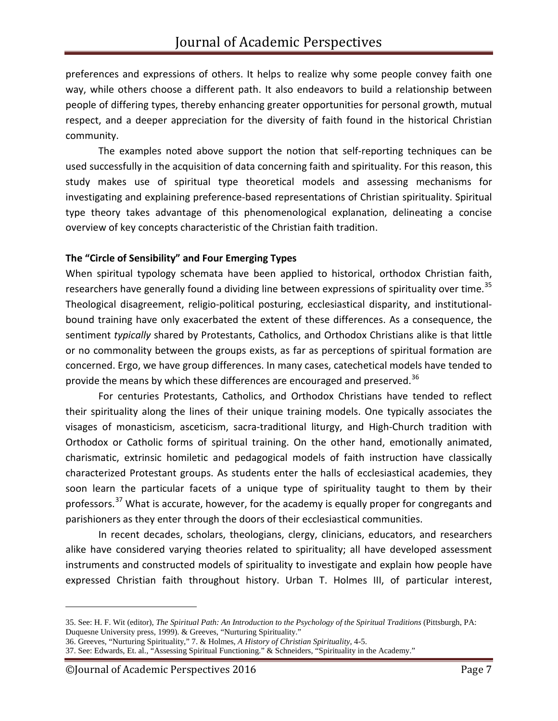preferences and expressions of others. It helps to realize why some people convey faith one way, while others choose a different path. It also endeavors to build a relationship between people of differing types, thereby enhancing greater opportunities for personal growth, mutual respect, and a deeper appreciation for the diversity of faith found in the historical Christian community.

The examples noted above support the notion that self-reporting techniques can be used successfully in the acquisition of data concerning faith and spirituality. For this reason, this study makes use of spiritual type theoretical models and assessing mechanisms for investigating and explaining preference-based representations of Christian spirituality. Spiritual type theory takes advantage of this phenomenological explanation, delineating a concise overview of key concepts characteristic of the Christian faith tradition.

## **The "Circle of Sensibility" and Four Emerging Types**

When spiritual typology schemata have been applied to historical, orthodox Christian faith, researchers have generally found a dividing line between expressions of spirituality over time.<sup>[35](#page-6-0)</sup> Theological disagreement, religio-political posturing, ecclesiastical disparity, and institutionalbound training have only exacerbated the extent of these differences. As a consequence, the sentiment *typically* shared by Protestants, Catholics, and Orthodox Christians alike is that little or no commonality between the groups exists, as far as perceptions of spiritual formation are concerned. Ergo, we have group differences. In many cases, catechetical models have tended to provide the means by which these differences are encouraged and preserved.<sup>[36](#page-6-1)</sup>

For centuries Protestants, Catholics, and Orthodox Christians have tended to reflect their spirituality along the lines of their unique training models. One typically associates the visages of monasticism, asceticism, sacra-traditional liturgy, and High-Church tradition with Orthodox or Catholic forms of spiritual training. On the other hand, emotionally animated, charismatic, extrinsic homiletic and pedagogical models of faith instruction have classically characterized Protestant groups. As students enter the halls of ecclesiastical academies, they soon learn the particular facets of a unique type of spirituality taught to them by their professors.<sup>[37](#page-6-2)</sup> What is accurate, however, for the academy is equally proper for congregants and parishioners as they enter through the doors of their ecclesiastical communities.

In recent decades, scholars, theologians, clergy, clinicians, educators, and researchers alike have considered varying theories related to spirituality; all have developed assessment instruments and constructed models of spirituality to investigate and explain how people have expressed Christian faith throughout history. Urban T. Holmes III, of particular interest,

<span id="page-6-0"></span><sup>35.</sup> See: H. F. Wit (editor), *The Spiritual Path: An Introduction to the Psychology of the Spiritual Traditions* (Pittsburgh, PA: Duquesne University press, 1999). & Greeves, "Nurturing Spirituality."

<span id="page-6-1"></span><sup>36.</sup> Greeves, "Nurturing Spirituality," 7. & Holmes, *A History of Christian Spirituality*, 4-5.

<span id="page-6-2"></span><sup>37.</sup> See: Edwards, Et. al., "Assessing Spiritual Functioning." & Schneiders, "Spirituality in the Academy."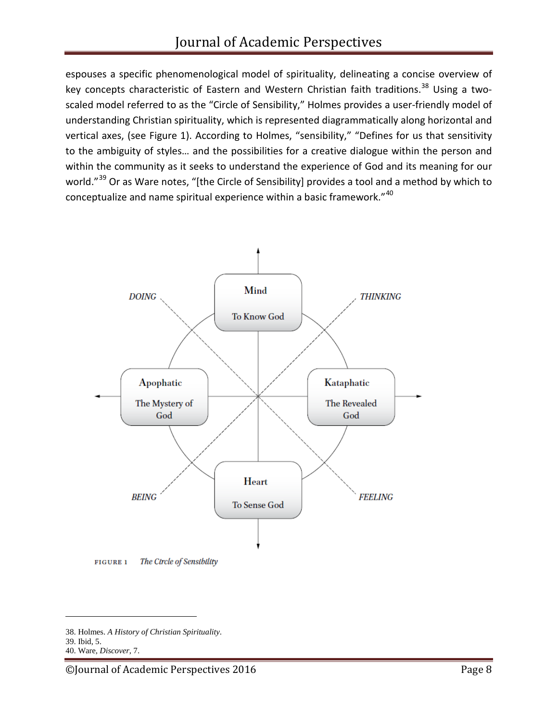espouses a specific phenomenological model of spirituality, delineating a concise overview of key concepts characteristic of Eastern and Western Christian faith traditions.<sup>[38](#page-7-0)</sup> Using a twoscaled model referred to as the "Circle of Sensibility," Holmes provides a user-friendly model of understanding Christian spirituality, which is represented diagrammatically along horizontal and vertical axes, (see Figure 1). According to Holmes, "sensibility," "Defines for us that sensitivity to the ambiguity of styles… and the possibilities for a creative dialogue within the person and within the community as it seeks to understand the experience of God and its meaning for our world."<sup>[39](#page-7-1)</sup> Or as Ware notes, "[the Circle of Sensibility] provides a tool and a method by which to conceptualize and name spiritual experience within a basic framework."[40](#page-7-2)



<span id="page-7-0"></span><sup>38.</sup> Holmes. *A History of Christian Spirituality*.

<span id="page-7-1"></span><sup>39.</sup> Ibid, 5.

<span id="page-7-2"></span><sup>40.</sup> Ware, *Discover*, 7.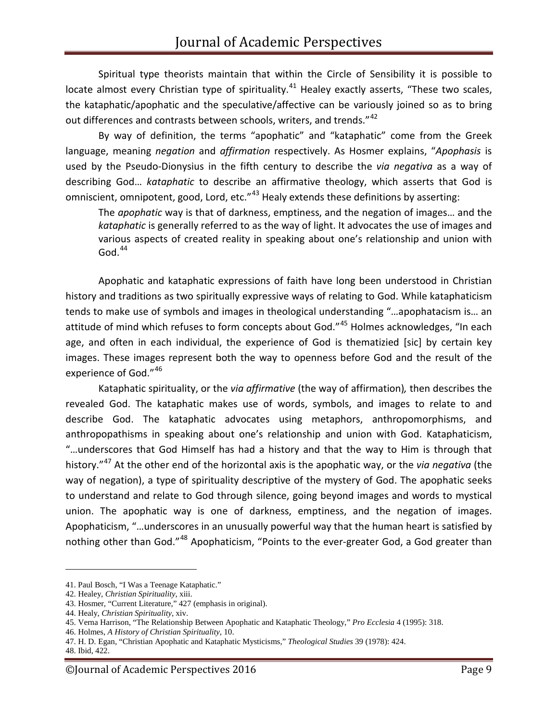Spiritual type theorists maintain that within the Circle of Sensibility it is possible to locate almost every Christian type of spirituality.<sup>[41](#page-8-0)</sup> Healey exactly asserts, "These two scales, the kataphatic/apophatic and the speculative/affective can be variously joined so as to bring out differences and contrasts between schools, writers, and trends."<sup>[42](#page-8-1)</sup>

By way of definition, the terms "apophatic" and "kataphatic" come from the Greek language, meaning *negation* and *affirmation* respectively. As Hosmer explains, "*Apophasis* is used by the Pseudo-Dionysius in the fifth century to describe the *via negativa* as a way of describing God… *kataphatic* to describe an affirmative theology, which asserts that God is omniscient, omnipotent, good, Lord, etc."<sup>[43](#page-8-2)</sup> Healy extends these definitions by asserting:

The *apophatic* way is that of darkness, emptiness, and the negation of images… and the *kataphatic* is generally referred to as the way of light. It advocates the use of images and various aspects of created reality in speaking about one's relationship and union with  $God.<sup>44</sup>$  $God.<sup>44</sup>$  $God.<sup>44</sup>$ 

Apophatic and kataphatic expressions of faith have long been understood in Christian history and traditions as two spiritually expressive ways of relating to God. While kataphaticism tends to make use of symbols and images in theological understanding "…apophatacism is… an attitude of mind which refuses to form concepts about God."<sup>[45](#page-8-4)</sup> Holmes acknowledges, "In each age, and often in each individual, the experience of God is thematizied [sic] by certain key images. These images represent both the way to openness before God and the result of the experience of God."<sup>[46](#page-8-5)</sup>

Kataphatic spirituality, or the *via affirmative* (the way of affirmation)*,* then describes the revealed God. The kataphatic makes use of words, symbols, and images to relate to and describe God. The kataphatic advocates using metaphors, anthropomorphisms, and anthropopathisms in speaking about one's relationship and union with God. Kataphaticism, "…underscores that God Himself has had a history and that the way to Him is through that history."[47](#page-8-6) At the other end of the horizontal axis is the apophatic way, or the *via negativa* (the way of negation), a type of spirituality descriptive of the mystery of God. The apophatic seeks to understand and relate to God through silence, going beyond images and words to mystical union. The apophatic way is one of darkness, emptiness, and the negation of images. Apophaticism, "…underscores in an unusually powerful way that the human heart is satisfied by nothing other than God."<sup>[48](#page-8-7)</sup> Apophaticism, "Points to the ever-greater God, a God greater than

<span id="page-8-0"></span><sup>41.</sup> Paul Bosch, "I Was a Teenage Kataphatic."

<span id="page-8-1"></span><sup>42.</sup> Healey, *Christian Spirituality*, xiii.

<span id="page-8-2"></span><sup>43.</sup> Hosmer, "Current Literature," 427 (emphasis in original).

<span id="page-8-3"></span><sup>44.</sup> Healy, *Christian Spirituality*, xiv.

<span id="page-8-4"></span><sup>45.</sup> Verna Harrison, "The Relationship Between Apophatic and Kataphatic Theology," *Pro Ecclesia* 4 (1995): 318.

<span id="page-8-5"></span><sup>46.</sup> Holmes, *A History of Christian Spirituality*, 10.

<span id="page-8-6"></span><sup>47.</sup> H. D. Egan, "Christian Apophatic and Kataphatic Mysticisms," *Theological Studies* 39 (1978): 424.

<span id="page-8-7"></span><sup>48.</sup> Ibid, 422.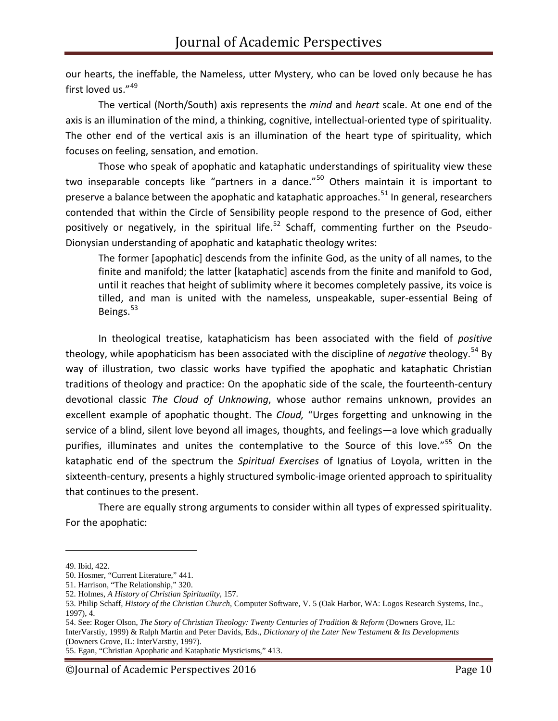our hearts, the ineffable, the Nameless, utter Mystery, who can be loved only because he has first loved us."<sup>[49](#page-9-0)</sup>

The vertical (North/South) axis represents the *mind* and *heart* scale. At one end of the axis is an illumination of the mind, a thinking, cognitive, intellectual-oriented type of spirituality. The other end of the vertical axis is an illumination of the heart type of spirituality, which focuses on feeling, sensation, and emotion.

Those who speak of apophatic and kataphatic understandings of spirituality view these two inseparable concepts like "partners in a dance."<sup>[50](#page-9-1)</sup> Others maintain it is important to preserve a balance between the apophatic and kataphatic approaches.<sup>[51](#page-9-2)</sup> In general, researchers contended that within the Circle of Sensibility people respond to the presence of God, either positively or negatively, in the spiritual life.<sup>[52](#page-9-3)</sup> Schaff, commenting further on the Pseudo-Dionysian understanding of apophatic and kataphatic theology writes:

The former [apophatic] descends from the infinite God, as the unity of all names, to the finite and manifold; the latter [kataphatic] ascends from the finite and manifold to God, until it reaches that height of sublimity where it becomes completely passive, its voice is tilled, and man is united with the nameless, unspeakable, super-essential Being of Beings.<sup>[53](#page-9-4)</sup>

In theological treatise, kataphaticism has been associated with the field of *positive* theology, while apophaticism has been associated with the discipline of *negative* theology.<sup>[54](#page-9-5)</sup> By way of illustration, two classic works have typified the apophatic and kataphatic Christian traditions of theology and practice: On the apophatic side of the scale, the fourteenth-century devotional classic *The Cloud of Unknowing*, whose author remains unknown, provides an excellent example of apophatic thought. The *Cloud,* "Urges forgetting and unknowing in the service of a blind, silent love beyond all images, thoughts, and feelings—a love which gradually purifies, illuminates and unites the contemplative to the Source of this love."<sup>[55](#page-9-6)</sup> On the kataphatic end of the spectrum the *Spiritual Exercises* of Ignatius of Loyola, written in the sixteenth-century, presents a highly structured symbolic-image oriented approach to spirituality that continues to the present.

There are equally strong arguments to consider within all types of expressed spirituality. For the apophatic:

<span id="page-9-0"></span><sup>49.</sup> Ibid, 422.

<span id="page-9-1"></span><sup>50.</sup> Hosmer, "Current Literature," 441.

<span id="page-9-2"></span><sup>51.</sup> Harrison, "The Relationship," 320.

<span id="page-9-3"></span><sup>52.</sup> Holmes, *A History of Christian Spirituality*, 157.

<span id="page-9-4"></span><sup>53.</sup> Philip Schaff, *History of the Christian Church*, Computer Software, V. 5 (Oak Harbor, WA: Logos Research Systems, Inc., 1997), 4.

<span id="page-9-5"></span><sup>54.</sup> See: Roger Olson, *The Story of Christian Theology: Twenty Centuries of Tradition & Reform* (Downers Grove, IL: InterVarstiy, 1999) & Ralph Martin and Peter Davids, Eds., *Dictionary of the Later New Testament & Its Developments* (Downers Grove, IL: InterVarstiy, 1997).

<span id="page-9-6"></span><sup>55.</sup> Egan, "Christian Apophatic and Kataphatic Mysticisms," 413.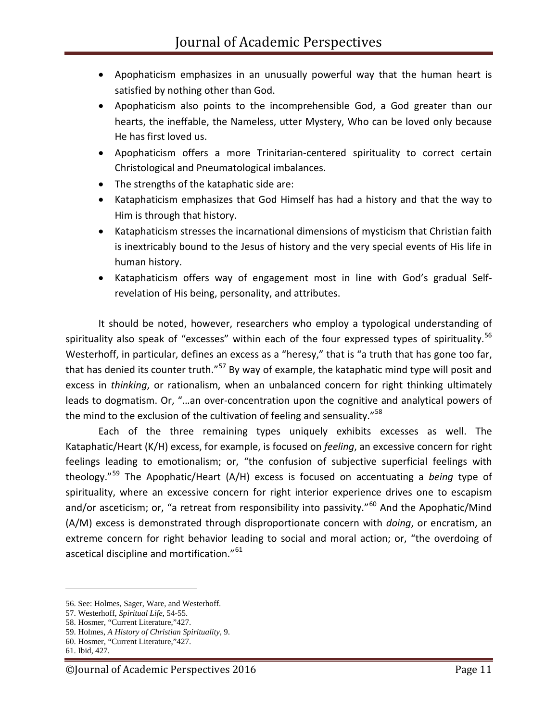- Apophaticism emphasizes in an unusually powerful way that the human heart is satisfied by nothing other than God.
- Apophaticism also points to the incomprehensible God, a God greater than our hearts, the ineffable, the Nameless, utter Mystery, Who can be loved only because He has first loved us.
- Apophaticism offers a more Trinitarian-centered spirituality to correct certain Christological and Pneumatological imbalances.
- The strengths of the kataphatic side are:
- Kataphaticism emphasizes that God Himself has had a history and that the way to Him is through that history.
- Kataphaticism stresses the incarnational dimensions of mysticism that Christian faith is inextricably bound to the Jesus of history and the very special events of His life in human history.
- Kataphaticism offers way of engagement most in line with God's gradual Selfrevelation of His being, personality, and attributes.

It should be noted, however, researchers who employ a typological understanding of spirituality also speak of "excesses" within each of the four expressed types of spirituality.<sup>[56](#page-10-0)</sup> Westerhoff, in particular, defines an excess as a "heresy," that is "a truth that has gone too far, that has denied its counter truth."<sup>[57](#page-10-1)</sup> By way of example, the kataphatic mind type will posit and excess in *thinking*, or rationalism, when an unbalanced concern for right thinking ultimately leads to dogmatism. Or, "…an over-concentration upon the cognitive and analytical powers of the mind to the exclusion of the cultivation of feeling and sensuality."<sup>[58](#page-10-2)</sup>

Each of the three remaining types uniquely exhibits excesses as well. The Kataphatic/Heart (K/H) excess, for example, is focused on *feeling*, an excessive concern for right feelings leading to emotionalism; or, "the confusion of subjective superficial feelings with theology." [59](#page-10-3) The Apophatic/Heart (A/H) excess is focused on accentuating a *being* type of spirituality, where an excessive concern for right interior experience drives one to escapism and/or asceticism; or, "a retreat from responsibility into passivity."<sup>[60](#page-10-4)</sup> And the Apophatic/Mind (A/M) excess is demonstrated through disproportionate concern with *doing*, or encratism, an extreme concern for right behavior leading to social and moral action; or, "the overdoing of ascetical discipline and mortification."<sup>[61](#page-10-5)</sup>

<span id="page-10-0"></span><sup>56.</sup> See: Holmes, Sager, Ware, and Westerhoff.

<span id="page-10-1"></span><sup>57.</sup> Westerhoff, *Spiritual Life*, 54-55.

<span id="page-10-2"></span><sup>58.</sup> Hosmer, "Current Literature,"427.

<span id="page-10-3"></span><sup>59.</sup> Holmes, *A History of Christian Spirituality*, 9.

<span id="page-10-4"></span><sup>60.</sup> Hosmer, "Current Literature,"427.

<span id="page-10-5"></span><sup>61.</sup> Ibid, 427.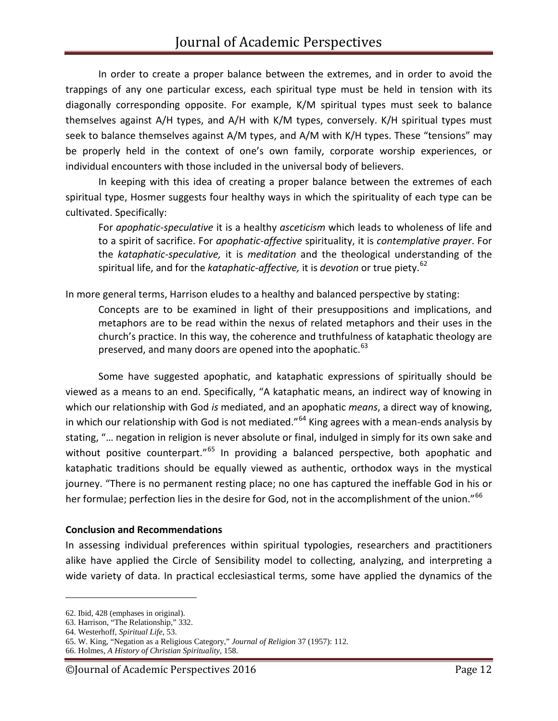In order to create a proper balance between the extremes, and in order to avoid the trappings of any one particular excess, each spiritual type must be held in tension with its diagonally corresponding opposite. For example, K/M spiritual types must seek to balance themselves against A/H types, and A/H with K/M types, conversely. K/H spiritual types must seek to balance themselves against A/M types, and A/M with K/H types. These "tensions" may be properly held in the context of one's own family, corporate worship experiences, or individual encounters with those included in the universal body of believers.

In keeping with this idea of creating a proper balance between the extremes of each spiritual type, Hosmer suggests four healthy ways in which the spirituality of each type can be cultivated. Specifically:

For *apophatic-speculative* it is a healthy *asceticism* which leads to wholeness of life and to a spirit of sacrifice. For *apophatic-affective* spirituality, it is *contemplative prayer*. For the *kataphatic-speculative,* it is *meditation* and the theological understanding of the spiritual life, and for the *kataphatic-affective,* it is *devotion* or true piety. [62](#page-11-0)

In more general terms, Harrison eludes to a healthy and balanced perspective by stating:

Concepts are to be examined in light of their presuppositions and implications, and metaphors are to be read within the nexus of related metaphors and their uses in the church's practice. In this way, the coherence and truthfulness of kataphatic theology are preserved, and many doors are opened into the apophatic.<sup>[63](#page-11-1)</sup>

Some have suggested apophatic, and kataphatic expressions of spiritually should be viewed as a means to an end. Specifically, "A kataphatic means, an indirect way of knowing in which our relationship with God *is* mediated, and an apophatic *means*, a direct way of knowing, in which our relationship with God is not mediated."<sup>[64](#page-11-2)</sup> King agrees with a mean-ends analysis by stating, "… negation in religion is never absolute or final, indulged in simply for its own sake and without positive counterpart."<sup>[65](#page-11-3)</sup> In providing a balanced perspective, both apophatic and kataphatic traditions should be equally viewed as authentic, orthodox ways in the mystical journey. "There is no permanent resting place; no one has captured the ineffable God in his or her formulae; perfection lies in the desire for God, not in the accomplishment of the union."<sup>[66](#page-11-4)</sup>

#### **Conclusion and Recommendations**

In assessing individual preferences within spiritual typologies, researchers and practitioners alike have applied the Circle of Sensibility model to collecting, analyzing, and interpreting a wide variety of data. In practical ecclesiastical terms, some have applied the dynamics of the

<span id="page-11-0"></span><sup>62.</sup> Ibid, 428 (emphases in original).

<span id="page-11-1"></span><sup>63.</sup> Harrison, "The Relationship," 332.

<span id="page-11-2"></span><sup>64.</sup> Westerhoff, *Spiritual Life*, 53.

<span id="page-11-3"></span><sup>65.</sup> W. King, "Negation as a Religious Category," *Journal of Religion* 37 (1957): 112.

<span id="page-11-4"></span><sup>66.</sup> Holmes, *A History of Christian Spirituality*, 158.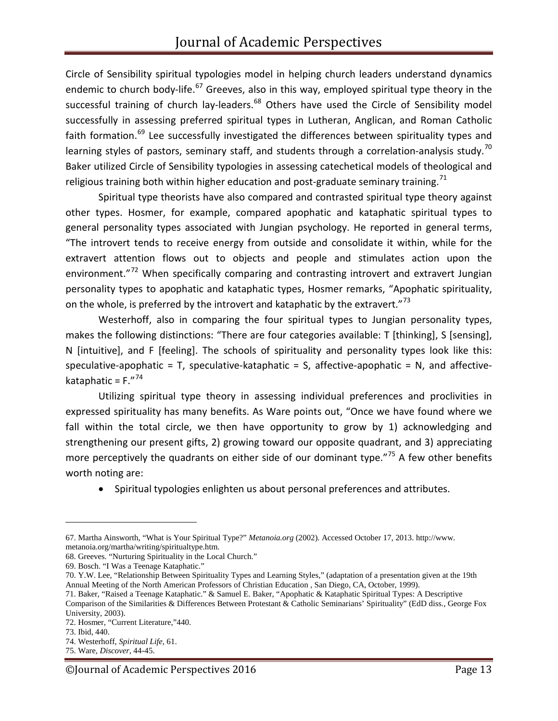Circle of Sensibility spiritual typologies model in helping church leaders understand dynamics endemic to church body-life.<sup>[67](#page-12-0)</sup> Greeves, also in this way, employed spiritual type theory in the successful training of church lay-leaders. $^{68}$  $^{68}$  $^{68}$  Others have used the Circle of Sensibility model successfully in assessing preferred spiritual types in Lutheran, Anglican, and Roman Catholic faith formation.<sup>[69](#page-12-2)</sup> Lee successfully investigated the differences between spirituality types and learning styles of pastors, seminary staff, and students through a correlation-analysis study.<sup>[70](#page-12-3)</sup> Baker utilized Circle of Sensibility typologies in assessing catechetical models of theological and religious training both within higher education and post-graduate seminary training.<sup>[71](#page-12-4)</sup>

Spiritual type theorists have also compared and contrasted spiritual type theory against other types. Hosmer, for example, compared apophatic and kataphatic spiritual types to general personality types associated with Jungian psychology. He reported in general terms, "The introvert tends to receive energy from outside and consolidate it within, while for the extravert attention flows out to objects and people and stimulates action upon the environment."<sup>[72](#page-12-5)</sup> When specifically comparing and contrasting introvert and extravert Jungian personality types to apophatic and kataphatic types, Hosmer remarks, "Apophatic spirituality, on the whole, is preferred by the introvert and kataphatic by the extravert."<sup>[73](#page-12-6)</sup>

Westerhoff, also in comparing the four spiritual types to Jungian personality types, makes the following distinctions: "There are four categories available: T [thinking], S [sensing], N [intuitive], and F [feeling]. The schools of spirituality and personality types look like this: speculative-apophatic =  $T$ , speculative-kataphatic =  $S$ , affective-apophatic =  $N$ , and affectivekataphatic =  $F''^{74}$  $F''^{74}$  $F''^{74}$ 

Utilizing spiritual type theory in assessing individual preferences and proclivities in expressed spirituality has many benefits. As Ware points out, "Once we have found where we fall within the total circle, we then have opportunity to grow by 1) acknowledging and strengthening our present gifts, 2) growing toward our opposite quadrant, and 3) appreciating more perceptively the quadrants on either side of our dominant type."<sup>[75](#page-12-8)</sup> A few other benefits worth noting are:

• Spiritual typologies enlighten us about personal preferences and attributes.

<span id="page-12-0"></span><sup>67.</sup> Martha Ainsworth, "What is Your Spiritual Type?" *Metanoia.org* (2002). Accessed October 17, 2013. http://www. metanoia.org/martha/writing/spiritualtype.htm.

<span id="page-12-1"></span><sup>68.</sup> Greeves. "Nurturing Spirituality in the Local Church."

<span id="page-12-2"></span><sup>69.</sup> Bosch. "I Was a Teenage Kataphatic."

<span id="page-12-3"></span><sup>70.</sup> Y.W. Lee, "Relationship Between Spirituality Types and Learning Styles," (adaptation of a presentation given at the 19th Annual Meeting of the North American Professors of Christian Education , San Diego, CA, October, 1999).

<span id="page-12-4"></span><sup>71.</sup> Baker, "Raised a Teenage Kataphatic." & Samuel E. Baker, "Apophatic & Kataphatic Spiritual Types: A Descriptive Comparison of the Similarities & Differences Between Protestant & Catholic Seminarians' Spirituality" (EdD diss., George Fox University, 2003).

<span id="page-12-5"></span><sup>72.</sup> Hosmer, "Current Literature,"440.

<span id="page-12-6"></span><sup>73.</sup> Ibid, 440.

<span id="page-12-7"></span><sup>74.</sup> Westerhoff, *Spiritual Life*, 61.

<span id="page-12-8"></span><sup>75.</sup> Ware, *Discover*, 44-45.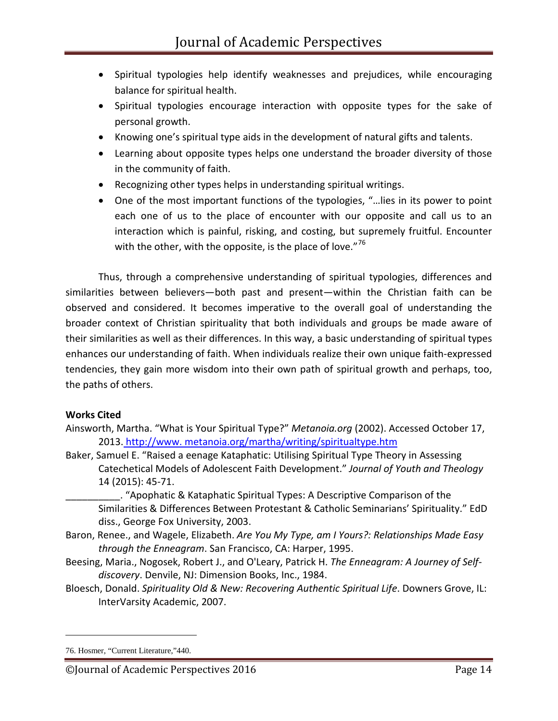- Spiritual typologies help identify weaknesses and prejudices, while encouraging balance for spiritual health.
- Spiritual typologies encourage interaction with opposite types for the sake of personal growth.
- Knowing one's spiritual type aids in the development of natural gifts and talents.
- Learning about opposite types helps one understand the broader diversity of those in the community of faith.
- Recognizing other types helps in understanding spiritual writings.
- One of the most important functions of the typologies, "…lies in its power to point each one of us to the place of encounter with our opposite and call us to an interaction which is painful, risking, and costing, but supremely fruitful. Encounter with the other, with the opposite, is the place of love."<sup>[76](#page-13-0)</sup>

Thus, through a comprehensive understanding of spiritual typologies, differences and similarities between believers—both past and present—within the Christian faith can be observed and considered. It becomes imperative to the overall goal of understanding the broader context of Christian spirituality that both individuals and groups be made aware of their similarities as well as their differences. In this way, a basic understanding of spiritual types enhances our understanding of faith. When individuals realize their own unique faith-expressed tendencies, they gain more wisdom into their own path of spiritual growth and perhaps, too, the paths of others.

# **Works Cited**

- Ainsworth, Martha. "What is Your Spiritual Type?" *Metanoia.org* (2002). Accessed October 17, 2013. http://www. metanoia.org/martha/writing/spiritualtype.htm
- Baker, Samuel E. "Raised a eenage Kataphatic: Utilising Spiritual Type Theory in Assessing Catechetical Models of Adolescent Faith Development." *Journal of Youth and Theology* 14 (2015): 45-71.

\_\_\_\_\_\_\_\_\_\_. "Apophatic & Kataphatic Spiritual Types: A Descriptive Comparison of the Similarities & Differences Between Protestant & Catholic Seminarians' Spirituality." EdD diss., George Fox University, 2003.

- Baron, Renee., and Wagele, Elizabeth. *Are You My Type, am I Yours?: Relationships Made Easy through the Enneagram*. San Francisco, CA: Harper, 1995.
- Beesing, Maria., Nogosek, Robert J., and O'Leary, Patrick H. *The Enneagram: A Journey of Selfdiscovery*. Denvile, NJ: Dimension Books, Inc., 1984.
- Bloesch, Donald. *Spirituality Old & New: Recovering Authentic Spiritual Life*. Downers Grove, IL: InterVarsity Academic, 2007.

<span id="page-13-0"></span><sup>76.</sup> Hosmer, "Current Literature,"440.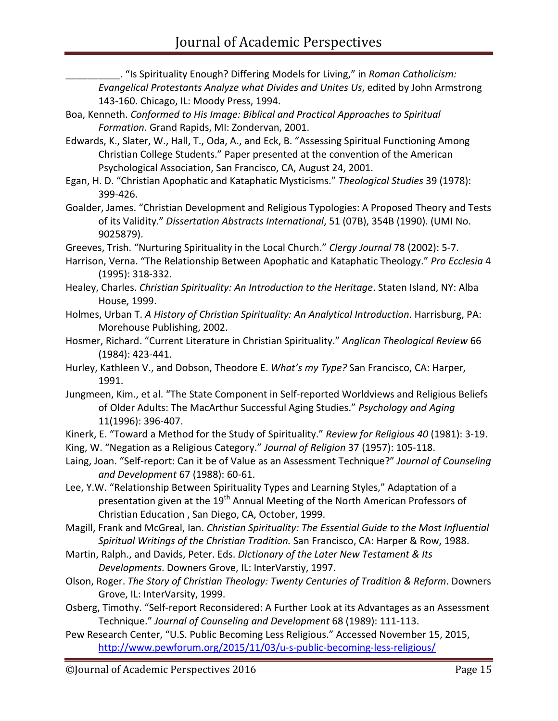\_\_\_\_\_\_\_\_\_\_. "Is Spirituality Enough? Differing Models for Living," in *Roman Catholicism: Evangelical Protestants Analyze what Divides and Unites Us*, edited by John Armstrong 143-160. Chicago, IL: Moody Press, 1994.

- Boa, Kenneth. *Conformed to His Image: Biblical and Practical Approaches to Spiritual Formation*. Grand Rapids, MI: Zondervan, 2001.
- Edwards, K., Slater, W., Hall, T., Oda, A., and Eck, B. "Assessing Spiritual Functioning Among Christian College Students." Paper presented at the convention of the American Psychological Association, San Francisco, CA, August 24, 2001.
- Egan, H. D. "Christian Apophatic and Kataphatic Mysticisms." *Theological Studies* 39 (1978): 399-426.
- Goalder, James. "Christian Development and Religious Typologies: A Proposed Theory and Tests of its Validity." *Dissertation Abstracts International*, 51 (07B), 354B (1990). (UMI No. 9025879).
- Greeves, Trish. "Nurturing Spirituality in the Local Church." *Clergy Journal* 78 (2002): 5-7.
- Harrison, Verna. "The Relationship Between Apophatic and Kataphatic Theology." *Pro Ecclesia* 4 (1995): 318-332.
- Healey, Charles. *Christian Spirituality: An Introduction to the Heritage*. Staten Island, NY: Alba House, 1999.
- Holmes, Urban T. *A History of Christian Spirituality: An Analytical Introduction*. Harrisburg, PA: Morehouse Publishing, 2002.
- Hosmer, Richard. "Current Literature in Christian Spirituality." *Anglican Theological Review* 66 (1984): 423-441.
- Hurley, Kathleen V., and Dobson, Theodore E. *What's my Type?* San Francisco, CA: Harper, 1991.
- Jungmeen, Kim., et al. "The State Component in Self-reported Worldviews and Religious Beliefs of Older Adults: The MacArthur Successful Aging Studies." *Psychology and Aging*  11(1996): 396-407.
- Kinerk, E. "Toward a Method for the Study of Spirituality." *Review for Religious 40* (1981): 3-19.
- King, W. "Negation as a Religious Category." *Journal of Religion* 37 (1957): 105-118.
- Laing, Joan. "Self-report: Can it be of Value as an Assessment Technique?" *Journal of Counseling and Development* 67 (1988): 60-61.
- Lee, Y.W. "Relationship Between Spirituality Types and Learning Styles," Adaptation of a presentation given at the  $19<sup>th</sup>$  Annual Meeting of the North American Professors of Christian Education , San Diego, CA, October, 1999.
- Magill, Frank and McGreal, Ian. *Christian Spirituality: The Essential Guide to the Most Influential Spiritual Writings of the Christian Tradition.* San Francisco, CA: Harper & Row, 1988.
- Martin, Ralph., and Davids, Peter. Eds. *Dictionary of the Later New Testament & Its Developments*. Downers Grove, IL: InterVarstiy, 1997.
- Olson, Roger. *The Story of Christian Theology: Twenty Centuries of Tradition & Reform*. Downers Grove, IL: InterVarsity, 1999.
- Osberg, Timothy. "Self-report Reconsidered: A Further Look at its Advantages as an Assessment Technique." *Journal of Counseling and Development* 68 (1989): 111-113.
- Pew Research Center, "U.S. Public Becoming Less Religious." Accessed November 15, 2015, <http://www.pewforum.org/2015/11/03/u-s-public-becoming-less-religious/>